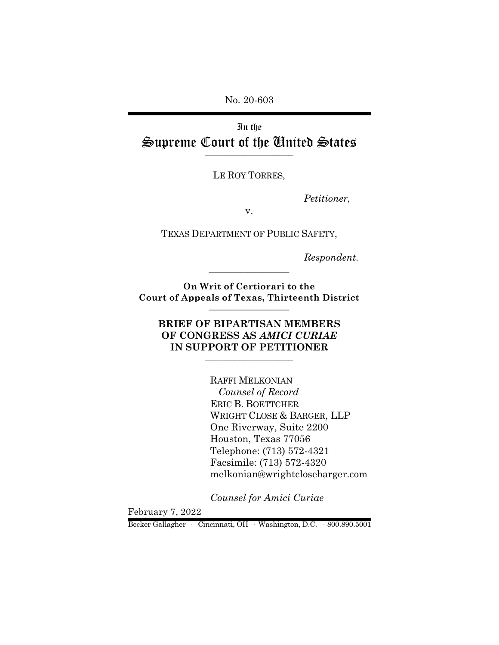No. 20-603

In the Supreme Court of the United States  $\overline{\phantom{a}}$  , where  $\overline{\phantom{a}}$ 

LE ROY TORRES,

*Petitioner*,

v.

TEXAS DEPARTMENT OF PUBLIC SAFETY,

*Respondent.*

**On Writ of Certiorari to the Court of Appeals of Texas, Thirteenth District** \_\_\_\_\_\_\_\_\_\_\_\_\_\_\_\_\_\_

\_\_\_\_\_\_\_\_\_\_\_\_\_\_\_\_\_\_

## **BRIEF OF BIPARTISAN MEMBERS OF CONGRESS AS** *AMICI CURIAE* **IN SUPPORT OF PETITIONER** \_\_\_\_\_\_\_\_\_\_\_\_\_\_\_\_\_\_

RAFFI MELKONIAN  *Counsel of Record* ERIC B. BOETTCHER WRIGHT CLOSE & BARGER, LLP One Riverway, Suite 2200 Houston, Texas 77056 Telephone: (713) 572-4321 Facsimile: (713) 572-4320 melkonian@wrightclosebarger.com

*Counsel for Amici Curiae*

February 7, 2022

Becker Gallagher · Cincinnati, OH · Washington, D.C. · 800.890.5001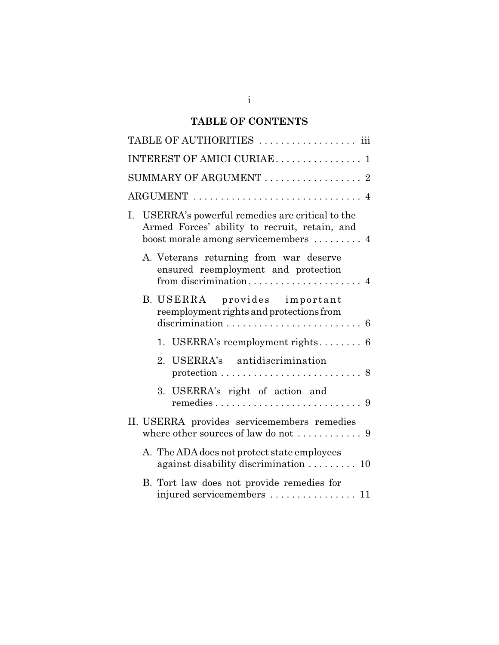# **TABLE OF CONTENTS**

|    | TABLE OF AUTHORITIES  iii                                                                                                                            |
|----|------------------------------------------------------------------------------------------------------------------------------------------------------|
|    | INTEREST OF AMICI CURIAE 1                                                                                                                           |
|    | SUMMARY OF ARGUMENT $\ldots \ldots \ldots \ldots \ldots$ 2                                                                                           |
|    | ARGUMENT  4                                                                                                                                          |
| Ι. | USERRA's powerful remedies are critical to the<br>Armed Forces' ability to recruit, retain, and<br>boost morale among servicemembers $\dots \dots$ 4 |
|    | A. Veterans returning from war deserve<br>ensured reemployment and protection                                                                        |
|    | B. USERRA provides important<br>reemployment rights and protections from<br>$discrimination \ldots \ldots \ldots \ldots \ldots \ldots \ldots$<br>6   |
|    | 1. USERRA's reemployment rights $6$                                                                                                                  |
|    | USERRA's antidiscrimination<br>2.<br>protection $\ldots \ldots \ldots \ldots \ldots \ldots \ldots \ldots 8$                                          |
|    | 3. USERRA's right of action and                                                                                                                      |
|    | II. USERRA provides servicemembers remedies<br>where other sources of law do not $\dots\dots\dots\dots9$                                             |
|    | A. The ADA does not protect state employees<br>against disability discrimination  10                                                                 |
|    | B. Tort law does not provide remedies for<br>injured servicemembers  11                                                                              |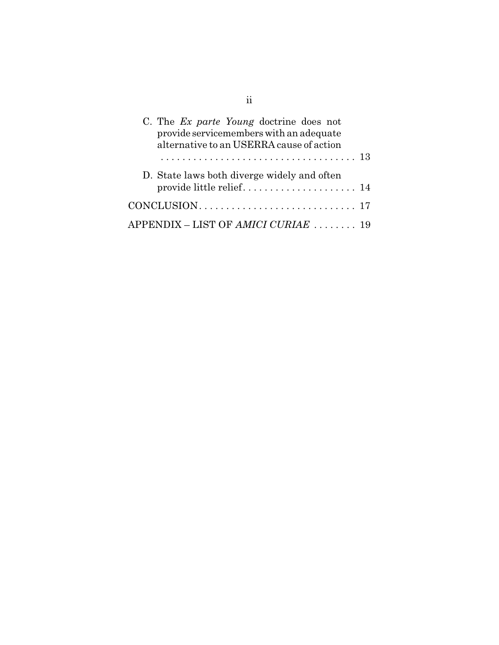| C. The Ex parte Young doctrine does not<br>provide servicemembers with an adequate<br>alternative to an USERRA cause of action |  |
|--------------------------------------------------------------------------------------------------------------------------------|--|
|                                                                                                                                |  |
| D. State laws both diverge widely and often                                                                                    |  |
|                                                                                                                                |  |
| APPENDIX – LIST OF AMICI CURIAE  19                                                                                            |  |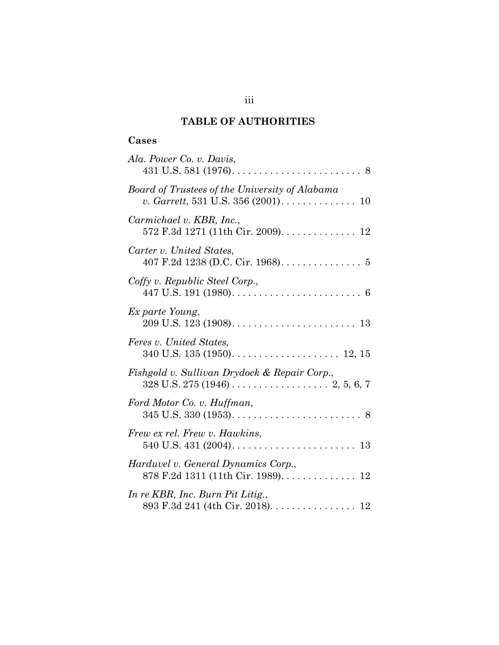# **TABLE OF AUTHORITIES**

# **Cases**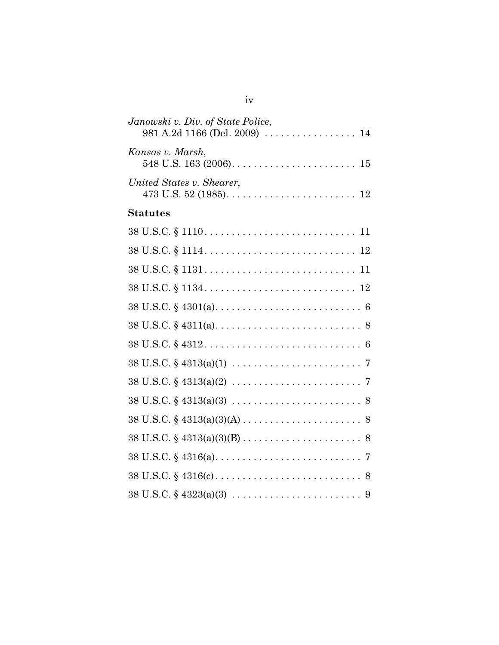| Janowski v. Div. of State Police,<br>981 A.2d 1166 (Del. 2009)  14                                                        |
|---------------------------------------------------------------------------------------------------------------------------|
| Kansas v. Marsh,                                                                                                          |
| United States v. Shearer,                                                                                                 |
| <b>Statutes</b>                                                                                                           |
|                                                                                                                           |
|                                                                                                                           |
| $38 \text{ U.S.C.} \S 1131 \ldots \ldots \ldots \ldots \ldots \ldots \ldots \ldots \ldots \ldots 11$                      |
|                                                                                                                           |
|                                                                                                                           |
|                                                                                                                           |
|                                                                                                                           |
| $38 \text{ U.S.C.} \S 4313(a)(1) \ldots \ldots \ldots \ldots \ldots \ldots \ldots \ldots \ldots \ldots$                   |
|                                                                                                                           |
|                                                                                                                           |
| $38 \text{ U.S.C.} \S 4313(a)(3)(A) \ldots \ldots \ldots \ldots \ldots \ldots \ldots \ldots \ldots \ldots \ldots \ldots$  |
| $38 \text{ U.S.C.} \S 4313(a)(3)(B) \ldots \ldots \ldots \ldots \ldots \ldots \ldots \ldots \ldots \ldots \ldots \ldots$  |
|                                                                                                                           |
| $38 \text{ U.S.C.} \S 4316(c) \ldots \ldots \ldots \ldots \ldots \ldots \ldots \ldots \ldots \ldots \ldots \ldots \ldots$ |
| $38 \text{ U.S.C.} \S 4323(a)(3) \ldots \ldots \ldots \ldots \ldots \ldots \ldots \ldots \ldots \ldots \ldots$            |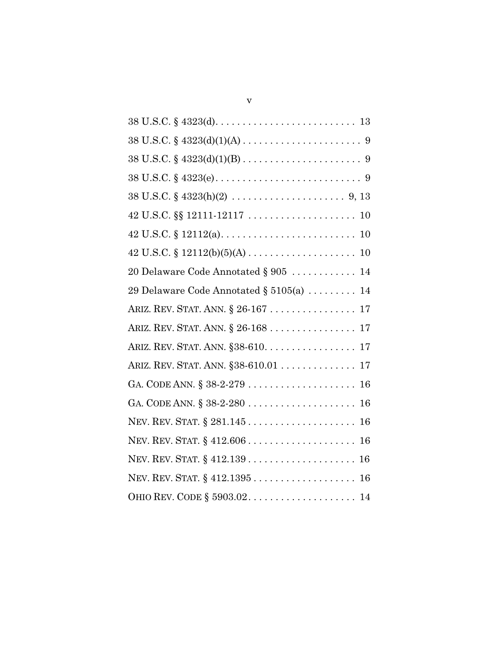| $38 \text{ U.S.C.} \S 4323(d)(1)(A) \ldots \ldots \ldots \ldots \ldots \ldots \ldots \ldots \ldots \ldots$ |
|------------------------------------------------------------------------------------------------------------|
| $38 \text{ U.S.C.} \S 4323(d)(1)(B) \ldots \ldots \ldots \ldots \ldots \ldots \ldots \ldots \ldots \ldots$ |
|                                                                                                            |
|                                                                                                            |
|                                                                                                            |
|                                                                                                            |
|                                                                                                            |
| 20 Delaware Code Annotated $\S 905$ 14                                                                     |
| 29 Delaware Code Annotated $\S 5105(a)$ 14                                                                 |
| ARIZ. REV. STAT. ANN. § 26-167 17                                                                          |
| ARIZ. REV. STAT. ANN. § 26-168 17                                                                          |
| ARIZ. REV. STAT. ANN. §38-610. 17                                                                          |
| ARIZ. REV. STAT. ANN. §38-610.01 17                                                                        |
|                                                                                                            |
|                                                                                                            |
|                                                                                                            |
|                                                                                                            |
|                                                                                                            |
|                                                                                                            |
|                                                                                                            |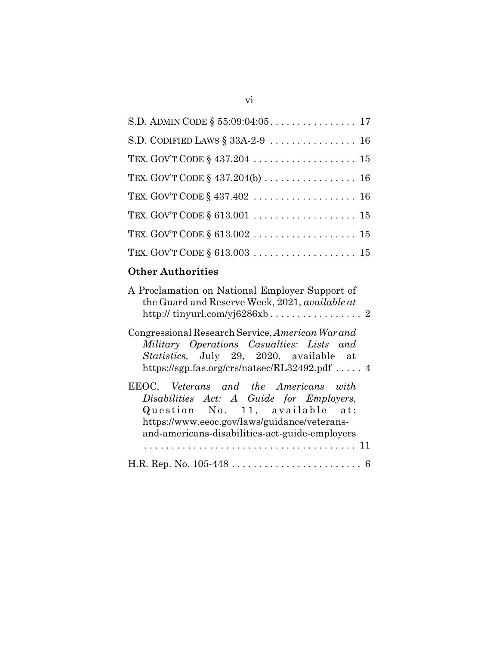# **Other Authorities**

| A Proclamation on National Employer Support of<br>the Guard and Reserve Week, 2021, available at |
|--------------------------------------------------------------------------------------------------|
| Congressional Research Service, American War and                                                 |
| Military Operations Casualties: Lists and                                                        |
| Statistics, July 29, 2020, available at                                                          |
| https://sgp.fas.org/crs/natsec/RL32492.pdf  4                                                    |
| EEOC, Veterans and the Americans with                                                            |
| Disabilities Act: A Guide for Employers,                                                         |
| Question No. 11, available at:                                                                   |
| https://www.eeoc.gov/laws/guidance/veterans-                                                     |
| and-americans-disabilities-act-guide-employers                                                   |
| . 11<br>.                                                                                        |
|                                                                                                  |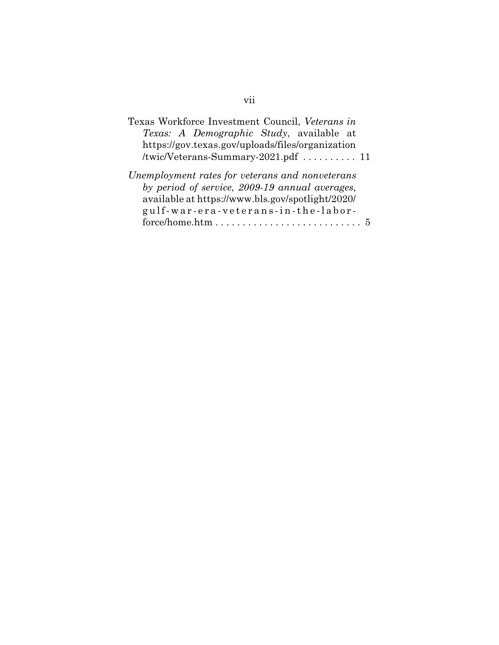| Texas Workforce Investment Council, Veterans in                                                                                                                                              |
|----------------------------------------------------------------------------------------------------------------------------------------------------------------------------------------------|
| Texas: A Demographic Study, available at                                                                                                                                                     |
| https://gov.texas.gov/uploads/files/organization                                                                                                                                             |
|                                                                                                                                                                                              |
| Unemployment rates for veterans and nonveterans<br>by period of service, 2009-19 annual averages,<br>available at https://www.bls.gov/spotlight/2020/<br>gulf-war-era-veterans-in-the-labor- |

# vii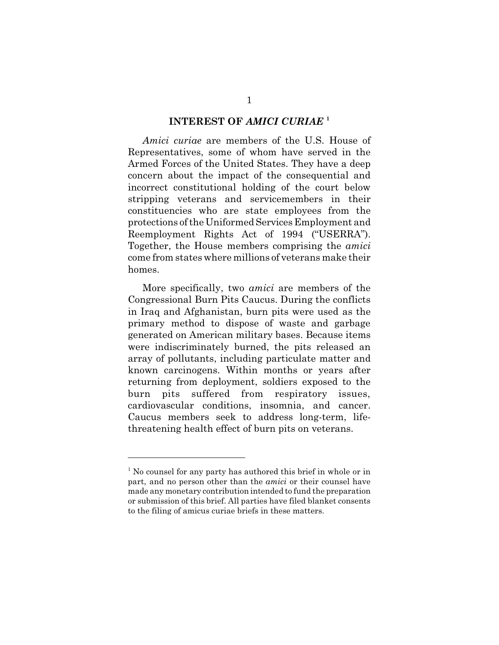#### **INTEREST OF** *AMICI CURIAE* **<sup>1</sup>**

*Amici curiae* are members of the U.S. House of Representatives, some of whom have served in the Armed Forces of the United States. They have a deep concern about the impact of the consequential and incorrect constitutional holding of the court below stripping veterans and servicemembers in their constituencies who are state employees from the protections of the Uniformed Services Employment and Reemployment Rights Act of 1994 ("USERRA"). Together, the House members comprising the *amici* come from states where millions of veterans make their homes.

More specifically, two *amici* are members of the Congressional Burn Pits Caucus. During the conflicts in Iraq and Afghanistan, burn pits were used as the primary method to dispose of waste and garbage generated on American military bases. Because items were indiscriminately burned, the pits released an array of pollutants, including particulate matter and known carcinogens. Within months or years after returning from deployment, soldiers exposed to the burn pits suffered from respiratory issues, cardiovascular conditions, insomnia, and cancer. Caucus members seek to address long-term, lifethreatening health effect of burn pits on veterans.

<sup>&</sup>lt;sup>1</sup> No counsel for any party has authored this brief in whole or in part, and no person other than the *amici* or their counsel have made any monetary contribution intended to fund the preparation or submission of this brief. All parties have filed blanket consents to the filing of amicus curiae briefs in these matters.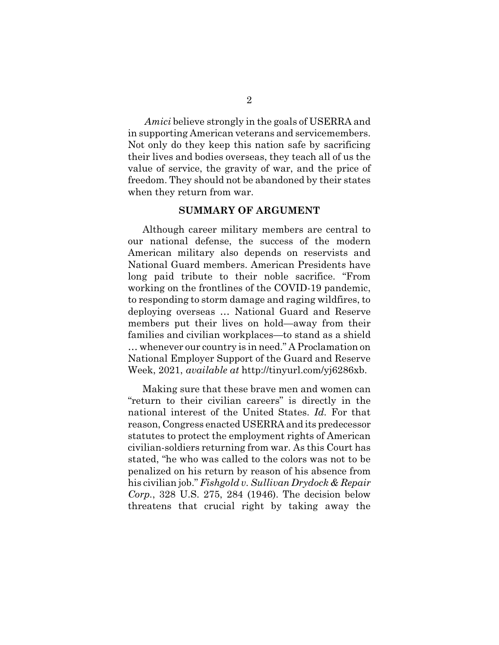*Amici* believe strongly in the goals of USERRA and in supporting American veterans and servicemembers. Not only do they keep this nation safe by sacrificing their lives and bodies overseas, they teach all of us the value of service, the gravity of war, and the price of freedom. They should not be abandoned by their states when they return from war.

#### **SUMMARY OF ARGUMENT**

Although career military members are central to our national defense, the success of the modern American military also depends on reservists and National Guard members. American Presidents have long paid tribute to their noble sacrifice. "From working on the frontlines of the COVID-19 pandemic, to responding to storm damage and raging wildfires, to deploying overseas … National Guard and Reserve members put their lives on hold—away from their families and civilian workplaces—to stand as a shield … whenever our country is in need." A Proclamation on National Employer Support of the Guard and Reserve Week, 2021, *available at* http://tinyurl.com/yj6286xb.

Making sure that these brave men and women can "return to their civilian careers" is directly in the national interest of the United States. *Id.* For that reason, Congress enacted USERRA and its predecessor statutes to protect the employment rights of American civilian-soldiers returning from war. As this Court has stated, "he who was called to the colors was not to be penalized on his return by reason of his absence from his civilian job." *Fishgold v. Sullivan Drydock & Repair Corp.*, 328 U.S. 275, 284 (1946). The decision below threatens that crucial right by taking away the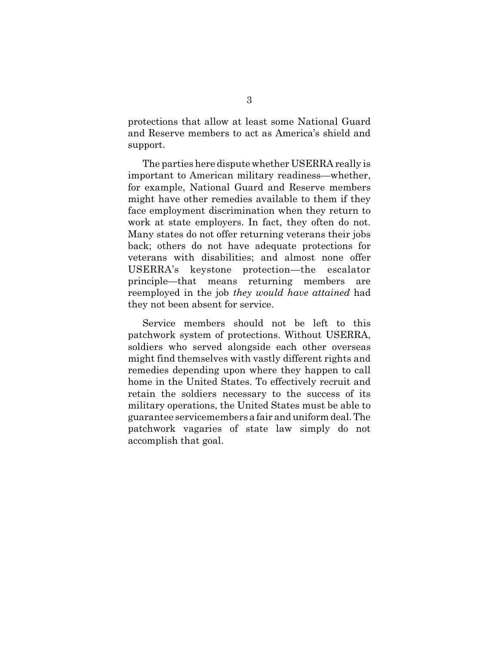protections that allow at least some National Guard and Reserve members to act as America's shield and support.

The parties here dispute whether USERRA really is important to American military readiness—whether, for example, National Guard and Reserve members might have other remedies available to them if they face employment discrimination when they return to work at state employers. In fact, they often do not. Many states do not offer returning veterans their jobs back; others do not have adequate protections for veterans with disabilities; and almost none offer USERRA's keystone protection—the escalator principle—that means returning members are reemployed in the job *they would have attained* had they not been absent for service.

Service members should not be left to this patchwork system of protections. Without USERRA, soldiers who served alongside each other overseas might find themselves with vastly different rights and remedies depending upon where they happen to call home in the United States. To effectively recruit and retain the soldiers necessary to the success of its military operations, the United States must be able to guarantee servicemembers a fair and uniform deal. The patchwork vagaries of state law simply do not accomplish that goal.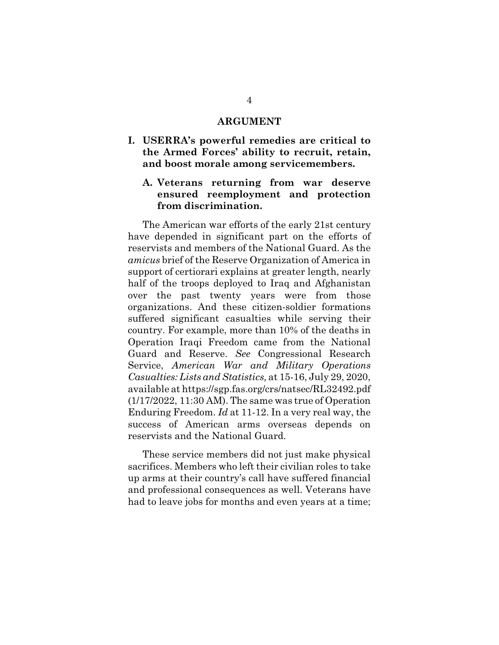#### **ARGUMENT**

- **I. USERRA's powerful remedies are critical to the Armed Forces' ability to recruit, retain, and boost morale among servicemembers.**
	- **A. Veterans returning from war deserve ensured reemployment and protection from discrimination.**

The American war efforts of the early 21st century have depended in significant part on the efforts of reservists and members of the National Guard. As the *amicus* brief of the Reserve Organization of America in support of certiorari explains at greater length, nearly half of the troops deployed to Iraq and Afghanistan over the past twenty years were from those organizations. And these citizen-soldier formations suffered significant casualties while serving their country. For example, more than 10% of the deaths in Operation Iraqi Freedom came from the National Guard and Reserve. *See* Congressional Research Service, *American War and Military Operations Casualties: Lists and Statistics,* at 15-16, July 29, 2020, available at https://sgp.fas.org/crs/natsec/RL32492.pdf (1/17/2022, 11:30 AM). The same was true of Operation Enduring Freedom. *Id* at 11-12. In a very real way, the success of American arms overseas depends on reservists and the National Guard.

These service members did not just make physical sacrifices. Members who left their civilian roles to take up arms at their country's call have suffered financial and professional consequences as well. Veterans have had to leave jobs for months and even years at a time;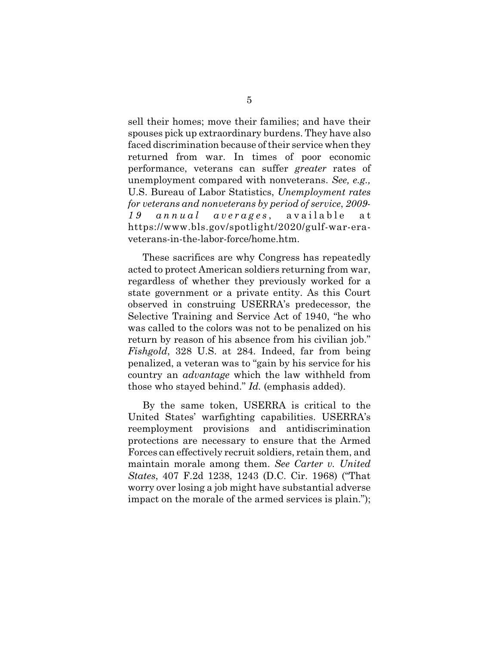sell their homes; move their families; and have their spouses pick up extraordinary burdens. They have also faced discrimination because of their service when they returned from war. In times of poor economic performance, veterans can suffer *greater* rates of unemployment compared with nonveterans. *See, e.g.,* U.S. Bureau of Labor Statistics, *Unemployment rates for veterans and nonveterans by period of service*, *2009- 19 annual averages*, available at https://www.bls.gov/spotlight/2020/gulf-war-eraveterans-in-the-labor-force/home.htm.

These sacrifices are why Congress has repeatedly acted to protect American soldiers returning from war, regardless of whether they previously worked for a state government or a private entity. As this Court observed in construing USERRA's predecessor, the Selective Training and Service Act of 1940, "he who was called to the colors was not to be penalized on his return by reason of his absence from his civilian job." *Fishgold*, 328 U.S. at 284. Indeed, far from being penalized, a veteran was to "gain by his service for his country an *advantage* which the law withheld from those who stayed behind." *Id.* (emphasis added).

By the same token, USERRA is critical to the United States' warfighting capabilities. USERRA's reemployment provisions and antidiscrimination protections are necessary to ensure that the Armed Forces can effectively recruit soldiers, retain them, and maintain morale among them. *See Carter v. United States*, 407 F.2d 1238, 1243 (D.C. Cir. 1968) ("That worry over losing a job might have substantial adverse impact on the morale of the armed services is plain.");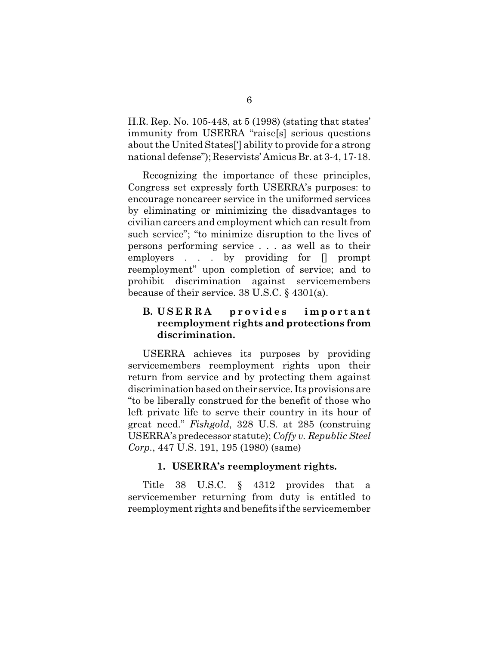H.R. Rep. No. 105-448, at 5 (1998) (stating that states' immunity from USERRA "raise[s] serious questions about the United States['] ability to provide for a strong national defense"); Reservists' Amicus Br. at 3-4, 17-18.

Recognizing the importance of these principles, Congress set expressly forth USERRA's purposes: to encourage noncareer service in the uniformed services by eliminating or minimizing the disadvantages to civilian careers and employment which can result from such service"; "to minimize disruption to the lives of persons performing service . . . as well as to their employers . . . by providing for [] prompt reemployment" upon completion of service; and to prohibit discrimination against servicemembers because of their service. 38 U.S.C. § 4301(a).

# **B. USERRA** provides important **reemployment rights and protections from discrimination.**

USERRA achieves its purposes by providing servicemembers reemployment rights upon their return from service and by protecting them against discrimination based on their service. Its provisions are "to be liberally construed for the benefit of those who left private life to serve their country in its hour of great need." *Fishgold*, 328 U.S. at 285 (construing USERRA's predecessor statute); *Coffy v. Republic Steel Corp.*, 447 U.S. 191, 195 (1980) (same)

## **1. USERRA's reemployment rights.**

Title 38 U.S.C. § 4312 provides that a servicemember returning from duty is entitled to reemployment rights and benefits if the servicemember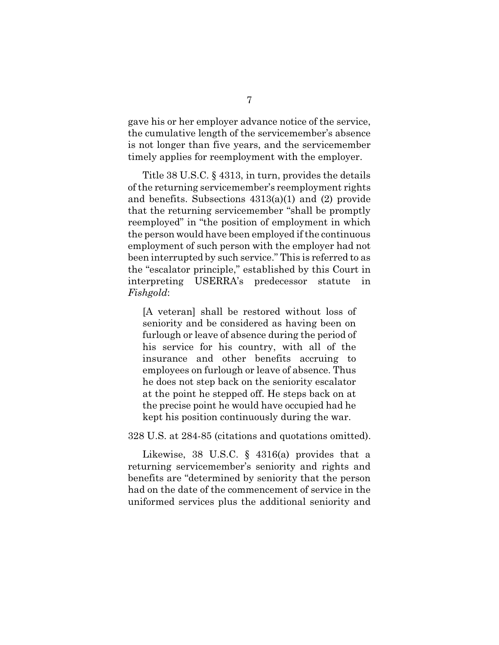gave his or her employer advance notice of the service, the cumulative length of the servicemember's absence is not longer than five years, and the servicemember timely applies for reemployment with the employer.

Title 38 U.S.C. § 4313, in turn, provides the details of the returning servicemember's reemployment rights and benefits. Subsections 4313(a)(1) and (2) provide that the returning servicemember "shall be promptly reemployed" in "the position of employment in which the person would have been employed if the continuous employment of such person with the employer had not been interrupted by such service." This is referred to as the "escalator principle," established by this Court in interpreting USERRA's predecessor statute *Fishgold*:

[A veteran] shall be restored without loss of seniority and be considered as having been on furlough or leave of absence during the period of his service for his country, with all of the insurance and other benefits accruing to employees on furlough or leave of absence. Thus he does not step back on the seniority escalator at the point he stepped off. He steps back on at the precise point he would have occupied had he kept his position continuously during the war.

#### 328 U.S. at 284-85 (citations and quotations omitted).

Likewise, 38 U.S.C. § 4316(a) provides that a returning servicemember's seniority and rights and benefits are "determined by seniority that the person had on the date of the commencement of service in the uniformed services plus the additional seniority and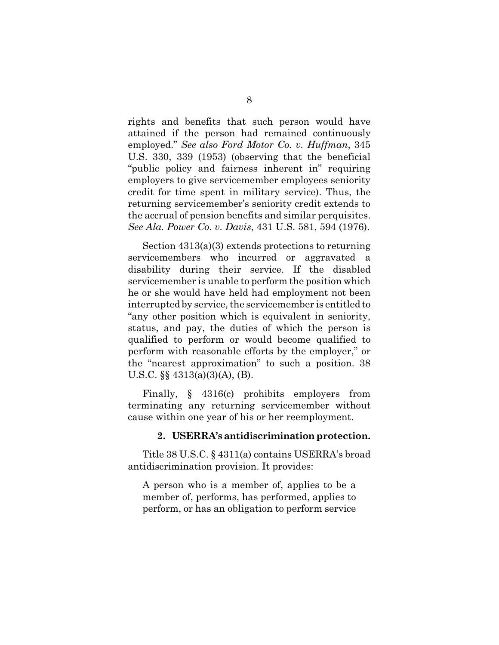rights and benefits that such person would have attained if the person had remained continuously employed." *See also Ford Motor Co. v. Huffman*, 345 U.S. 330, 339 (1953) (observing that the beneficial "public policy and fairness inherent in" requiring employers to give servicemember employees seniority credit for time spent in military service). Thus, the returning servicemember's seniority credit extends to the accrual of pension benefits and similar perquisites. *See Ala. Power Co. v. Davis*, 431 U.S. 581, 594 (1976).

Section 4313(a)(3) extends protections to returning servicemembers who incurred or aggravated a disability during their service. If the disabled servicemember is unable to perform the position which he or she would have held had employment not been interrupted by service, the servicemember is entitled to "any other position which is equivalent in seniority, status, and pay, the duties of which the person is qualified to perform or would become qualified to perform with reasonable efforts by the employer," or the "nearest approximation" to such a position. 38 U.S.C. §§ 4313(a)(3)(A), (B).

Finally, § 4316(c) prohibits employers from terminating any returning servicemember without cause within one year of his or her reemployment.

#### **2. USERRA's antidiscrimination protection.**

Title 38 U.S.C. § 4311(a) contains USERRA's broad antidiscrimination provision. It provides:

A person who is a member of, applies to be a member of, performs, has performed, applies to perform, or has an obligation to perform service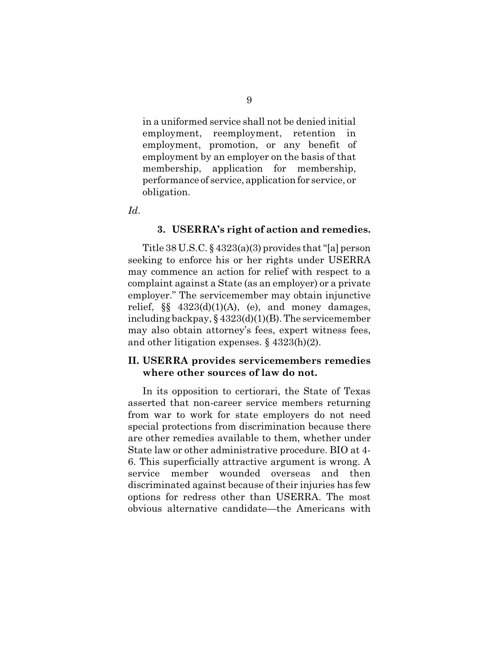in a uniformed service shall not be denied initial employment, reemployment, retention in employment, promotion, or any benefit of employment by an employer on the basis of that membership, application for membership, performance of service, application for service, or obligation.

*Id*.

#### **3. USERRA's right of action and remedies.**

Title 38 U.S.C.  $\S$  4323(a)(3) provides that "[a] person seeking to enforce his or her rights under USERRA may commence an action for relief with respect to a complaint against a State (as an employer) or a private employer." The servicemember may obtain injunctive relief,  $\S$   $4323(d)(1)(A)$ , (e), and money damages, including backpay, § 4323(d)(1)(B). The servicemember may also obtain attorney's fees, expert witness fees, and other litigation expenses. § 4323(h)(2).

#### **II. USERRA provides servicemembers remedies where other sources of law do not.**

In its opposition to certiorari, the State of Texas asserted that non-career service members returning from war to work for state employers do not need special protections from discrimination because there are other remedies available to them, whether under State law or other administrative procedure. BIO at 4- 6. This superficially attractive argument is wrong. A service member wounded overseas and then discriminated against because of their injuries has few options for redress other than USERRA. The most obvious alternative candidate—the Americans with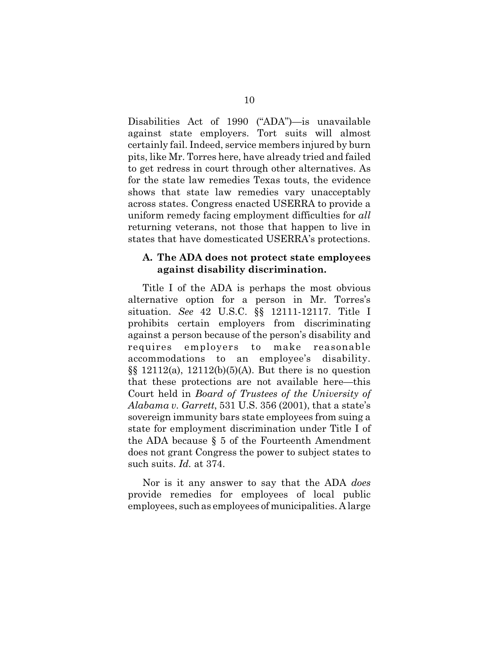Disabilities Act of 1990 ("ADA")—is unavailable against state employers. Tort suits will almost certainly fail. Indeed, service members injured by burn pits, like Mr. Torres here, have already tried and failed to get redress in court through other alternatives. As for the state law remedies Texas touts, the evidence shows that state law remedies vary unacceptably across states. Congress enacted USERRA to provide a uniform remedy facing employment difficulties for *all* returning veterans, not those that happen to live in states that have domesticated USERRA's protections.

#### **A. The ADA does not protect state employees against disability discrimination.**

Title I of the ADA is perhaps the most obvious alternative option for a person in Mr. Torres's situation. *See* 42 U.S.C. §§ 12111-12117. Title I prohibits certain employers from discriminating against a person because of the person's disability and requires employers to make reasonable accommodations to an employee's disability.  $\S$ [§ 12112(a), 12112(b)(5)(A). But there is no question that these protections are not available here—this Court held in *Board of Trustees of the University of Alabama v. Garrett*, 531 U.S. 356 (2001), that a state's sovereign immunity bars state employees from suing a state for employment discrimination under Title I of the ADA because § 5 of the Fourteenth Amendment does not grant Congress the power to subject states to such suits. *Id.* at 374.

Nor is it any answer to say that the ADA *does* provide remedies for employees of local public employees, such as employees of municipalities. A large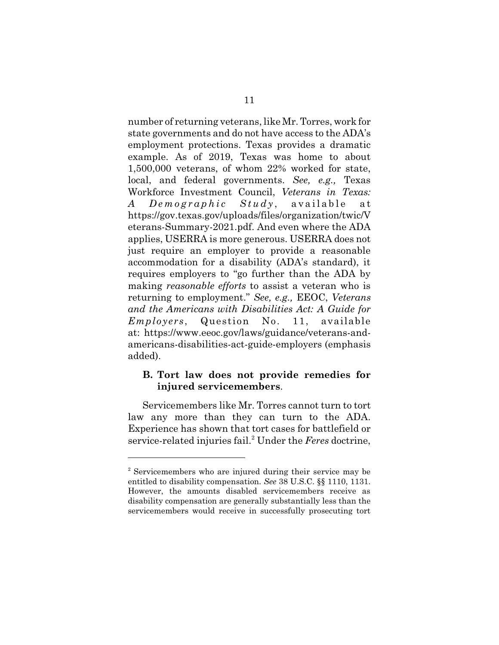number of returning veterans, like Mr. Torres, work for state governments and do not have access to the ADA's employment protections. Texas provides a dramatic example. As of 2019, Texas was home to about 1,500,000 veterans, of whom 22% worked for state, local, and federal governments. *See, e.g.,* Texas Workforce Investment Council, *Veterans in Texas: A Demographic Study*, available at https://gov.texas.gov/uploads/files/organization/twic/V eterans-Summary-2021.pdf. And even where the ADA applies, USERRA is more generous. USERRA does not just require an employer to provide a reasonable accommodation for a disability (ADA's standard), it requires employers to "go further than the ADA by making *reasonable efforts* to assist a veteran who is returning to employment." *See, e.g.,* EEOC, *Veterans and the Americans with Disabilities Act: A Guide for Employers*, Question No. 11, available at: https://www.eeoc.gov/laws/guidance/veterans-andamericans-disabilities-act-guide-employers (emphasis added).

## **B. Tort law does not provide remedies for injured servicemembers**.

Servicemembers like Mr. Torres cannot turn to tort law any more than they can turn to the ADA. Experience has shown that tort cases for battlefield or service-related injuries fail.<sup>2</sup> Under the *Feres* doctrine,

<sup>&</sup>lt;sup>2</sup> Servicemembers who are injured during their service may be entitled to disability compensation. *See* 38 U.S.C. §§ 1110, 1131. However, the amounts disabled servicemembers receive as disability compensation are generally substantially less than the servicemembers would receive in successfully prosecuting tort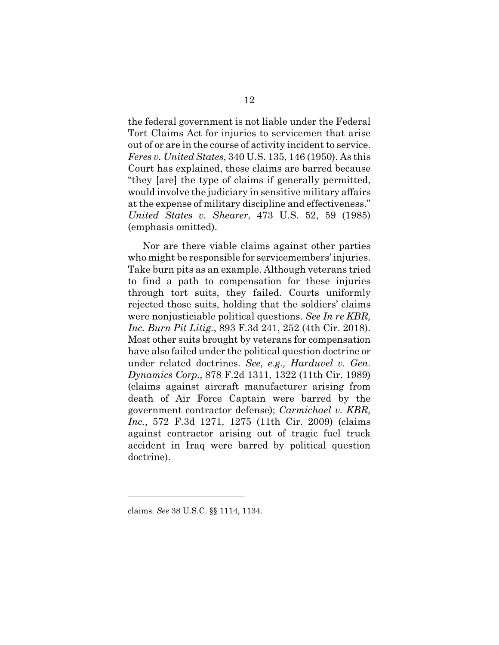the federal government is not liable under the Federal Tort Claims Act for injuries to servicemen that arise out of or are in the course of activity incident to service. *Feres v. United States*, 340 U.S. 135, 146 (1950). As this Court has explained, these claims are barred because "they [are] the type of claims if generally permitted, would involve the judiciary in sensitive military affairs at the expense of military discipline and effectiveness." *United States v. Shearer*, 473 U.S. 52, 59 (1985) (emphasis omitted).

Nor are there viable claims against other parties who might be responsible for servicemembers' injuries. Take burn pits as an example. Although veterans tried to find a path to compensation for these injuries through tort suits, they failed. Courts uniformly rejected those suits, holding that the soldiers' claims were nonjusticiable political questions. *See In re KBR, Inc. Burn Pit Litig.*, 893 F.3d 241, 252 (4th Cir. 2018). Most other suits brought by veterans for compensation have also failed under the political question doctrine or under related doctrines. *See, e.g., Harduvel v. Gen. Dynamics Corp.*, 878 F.2d 1311, 1322 (11th Cir. 1989) (claims against aircraft manufacturer arising from death of Air Force Captain were barred by the government contractor defense); *Carmichael v. KBR, Inc.*, 572 F.3d 1271, 1275 (11th Cir. 2009) (claims against contractor arising out of tragic fuel truck accident in Iraq were barred by political question doctrine).

claims. *See* 38 U.S.C. §§ 1114, 1134.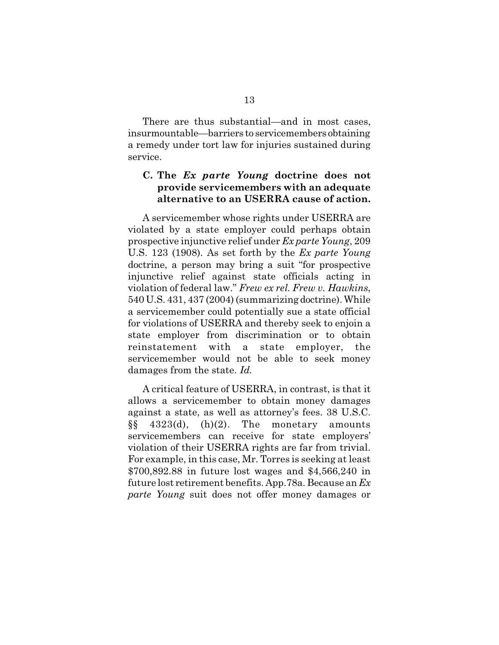There are thus substantial—and in most cases, insurmountable—barriers to servicemembers obtaining a remedy under tort law for injuries sustained during service.

## **C. The** *Ex parte Young* **doctrine does not provide servicemembers with an adequate alternative to an USERRA cause of action.**

A servicemember whose rights under USERRA are violated by a state employer could perhaps obtain prospective injunctive relief under *Ex parte Young*, 209 U.S. 123 (1908). As set forth by the *Ex parte Young* doctrine, a person may bring a suit "for prospective injunctive relief against state officials acting in violation of federal law." *Frew ex rel. Frew v. Hawkins*, 540 U.S. 431, 437 (2004) (summarizing doctrine). While a servicemember could potentially sue a state official for violations of USERRA and thereby seek to enjoin a state employer from discrimination or to obtain reinstatement with a state employer, the servicemember would not be able to seek money damages from the state. *Id.*

A critical feature of USERRA, in contrast, is that it allows a servicemember to obtain money damages against a state, as well as attorney's fees. 38 U.S.C.  $\S\S 4323(d), (h)(2).$  The monetary amounts servicemembers can receive for state employers' violation of their USERRA rights are far from trivial. For example, in this case, Mr. Torres is seeking at least \$700,892.88 in future lost wages and \$4,566,240 in future lost retirement benefits. App.78a. Because an *Ex parte Young* suit does not offer money damages or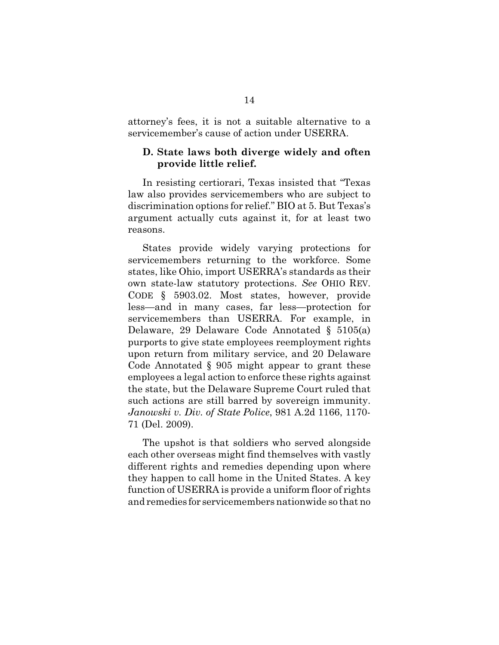attorney's fees, it is not a suitable alternative to a servicemember's cause of action under USERRA.

## **D. State laws both diverge widely and often provide little relief.**

In resisting certiorari, Texas insisted that "Texas law also provides servicemembers who are subject to discrimination options for relief." BIO at 5. But Texas's argument actually cuts against it, for at least two reasons.

States provide widely varying protections for servicemembers returning to the workforce. Some states, like Ohio, import USERRA's standards as their own state-law statutory protections. *See* OHIO REV. CODE § 5903.02. Most states, however, provide less—and in many cases, far less—protection for servicemembers than USERRA. For example, in Delaware, 29 Delaware Code Annotated § 5105(a) purports to give state employees reemployment rights upon return from military service, and 20 Delaware Code Annotated § 905 might appear to grant these employees a legal action to enforce these rights against the state, but the Delaware Supreme Court ruled that such actions are still barred by sovereign immunity. *Janowski v. Div. of State Police*, 981 A.2d 1166, 1170- 71 (Del. 2009).

The upshot is that soldiers who served alongside each other overseas might find themselves with vastly different rights and remedies depending upon where they happen to call home in the United States. A key function of USERRA is provide a uniform floor of rights and remedies for servicemembers nationwide so that no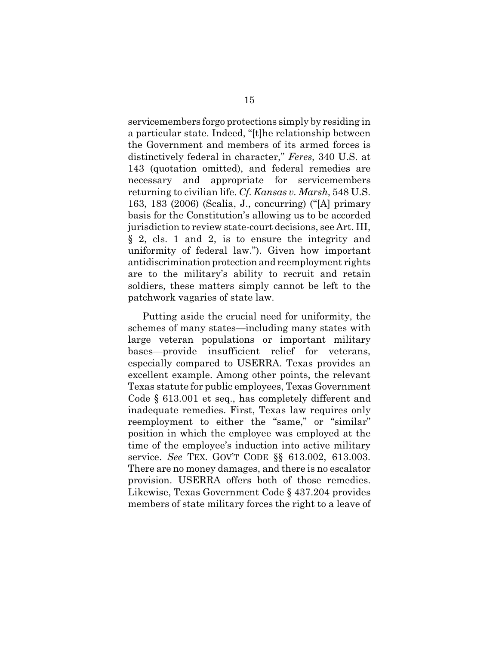servicemembers forgo protections simply by residing in a particular state. Indeed, "[t]he relationship between the Government and members of its armed forces is distinctively federal in character," *Feres*, 340 U.S. at 143 (quotation omitted), and federal remedies are necessary and appropriate for servicemembers returning to civilian life. *Cf. Kansas v. Marsh*, 548 U.S. 163, 183 (2006) (Scalia, J., concurring) ("[A] primary basis for the Constitution's allowing us to be accorded jurisdiction to review state-court decisions, see Art. III, § 2, cls. 1 and 2, is to ensure the integrity and uniformity of federal law."). Given how important antidiscrimination protection and reemployment rights are to the military's ability to recruit and retain soldiers, these matters simply cannot be left to the patchwork vagaries of state law.

Putting aside the crucial need for uniformity, the schemes of many states—including many states with large veteran populations or important military bases—provide insufficient relief for veterans, especially compared to USERRA. Texas provides an excellent example. Among other points, the relevant Texas statute for public employees, Texas Government Code § 613.001 et seq., has completely different and inadequate remedies. First, Texas law requires only reemployment to either the "same," or "similar" position in which the employee was employed at the time of the employee's induction into active military service. *See* TEX. GOV'T CODE §§ 613.002, 613.003. There are no money damages, and there is no escalator provision. USERRA offers both of those remedies. Likewise, Texas Government Code § 437.204 provides members of state military forces the right to a leave of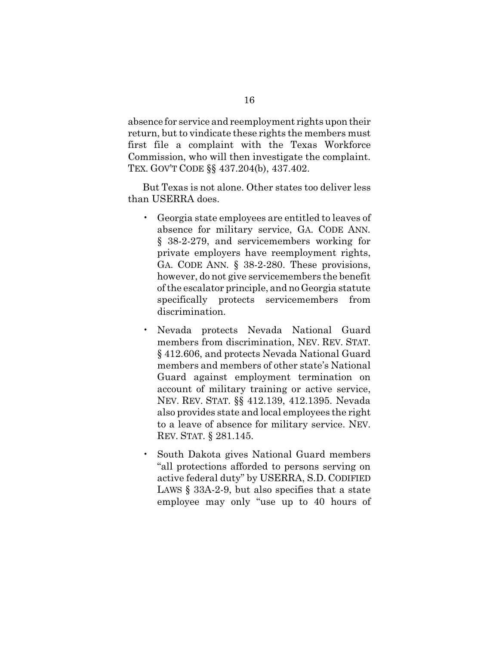absence for service and reemployment rights upon their return, but to vindicate these rights the members must first file a complaint with the Texas Workforce Commission, who will then investigate the complaint. TEX. GOV'T CODE §§ 437.204(b), 437.402.

But Texas is not alone. Other states too deliver less than USERRA does.

- Georgia state employees are entitled to leaves of absence for military service, GA. CODE ANN. § 38-2-279, and servicemembers working for private employers have reemployment rights, GA. CODE ANN. § 38-2-280. These provisions, however, do not give servicemembers the benefit of the escalator principle, and no Georgia statute specifically protects servicemembers from discrimination.
- Nevada protects Nevada National Guard members from discrimination, NEV. REV. STAT. § 412.606, and protects Nevada National Guard members and members of other state's National Guard against employment termination on account of military training or active service, NEV. REV. STAT. §§ 412.139, 412.1395. Nevada also provides state and local employees the right to a leave of absence for military service. NEV. REV. STAT. § 281.145.
- South Dakota gives National Guard members "all protections afforded to persons serving on active federal duty" by USERRA, S.D. CODIFIED LAWS § 33A-2-9, but also specifies that a state employee may only "use up to 40 hours of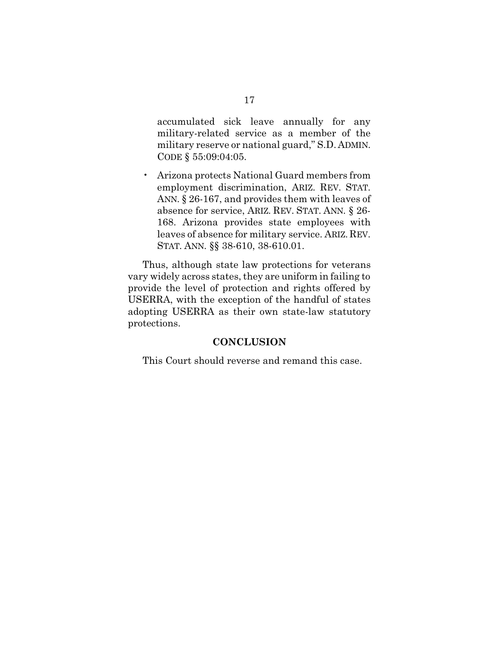accumulated sick leave annually for any military-related service as a member of the military reserve or national guard," S.D. ADMIN. CODE § 55:09:04:05.

• Arizona protects National Guard members from employment discrimination, ARIZ. REV. STAT. ANN. § 26-167, and provides them with leaves of absence for service, ARIZ. REV. STAT. ANN. § 26- 168. Arizona provides state employees with leaves of absence for military service. ARIZ. REV. STAT. ANN. §§ 38-610, 38-610.01.

Thus, although state law protections for veterans vary widely across states, they are uniform in failing to provide the level of protection and rights offered by USERRA, with the exception of the handful of states adopting USERRA as their own state-law statutory protections.

## **CONCLUSION**

This Court should reverse and remand this case.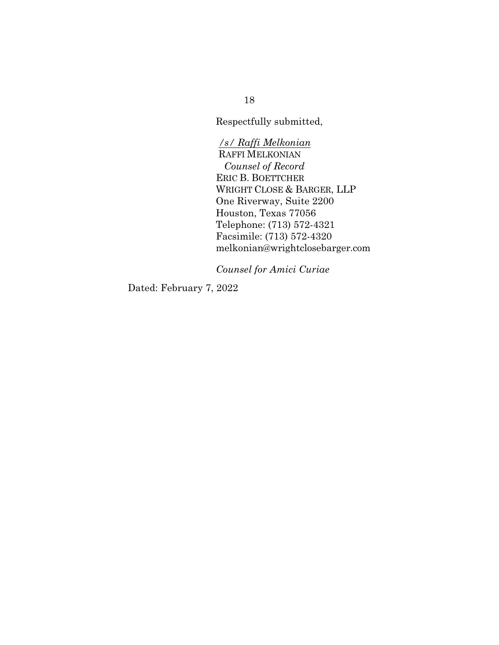Respectfully submitted,

*/s/ Raffi Melkonian*  RAFFI MELKONIAN *Counsel of Record* ERIC B. BOETTCHER WRIGHT CLOSE & BARGER, LLP One Riverway, Suite 2200 Houston, Texas 77056 Telephone: (713) 572-4321 Facsimile: (713) 572-4320 melkonian@wrightclosebarger.com

*Counsel for Amici Curiae*

Dated: February 7, 2022

18